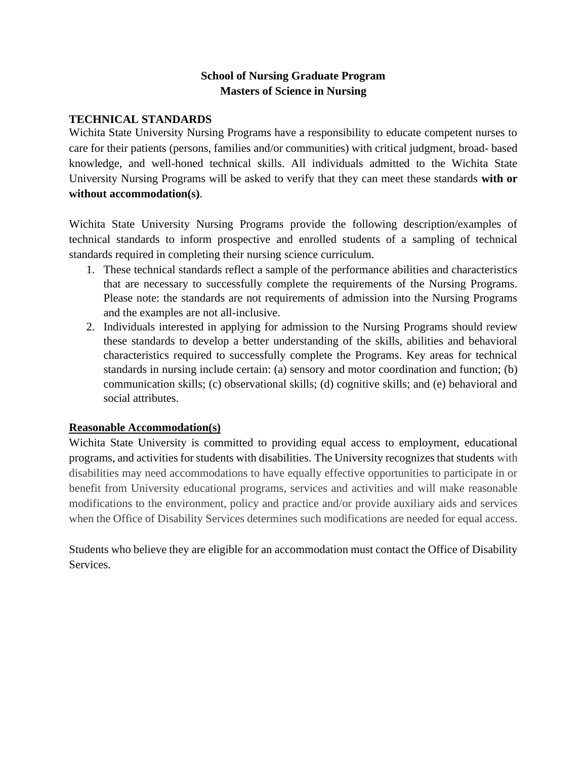## **School of Nursing Graduate Program Masters of Science in Nursing**

#### **TECHNICAL STANDARDS**

Wichita State University Nursing Programs have a responsibility to educate competent nurses to care for their patients (persons, families and/or communities) with critical judgment, broad- based knowledge, and well-honed technical skills. All individuals admitted to the Wichita State University Nursing Programs will be asked to verify that they can meet these standards **with or without accommodation(s)**.

Wichita State University Nursing Programs provide the following description/examples of technical standards to inform prospective and enrolled students of a sampling of technical standards required in completing their nursing science curriculum.

- 1. These technical standards reflect a sample of the performance abilities and characteristics that are necessary to successfully complete the requirements of the Nursing Programs. Please note: the standards are not requirements of admission into the Nursing Programs and the examples are not all-inclusive.
- 2. Individuals interested in applying for admission to the Nursing Programs should review these standards to develop a better understanding of the skills, abilities and behavioral characteristics required to successfully complete the Programs. Key areas for technical standards in nursing include certain: (a) sensory and motor coordination and function; (b) communication skills; (c) observational skills; (d) cognitive skills; and (e) behavioral and social attributes.

### **Reasonable Accommodation(s)**

Wichita State University is committed to providing equal access to employment, educational programs, and activities for students with disabilities. The University recognizes that students with disabilities may need accommodations to have equally effective opportunities to participate in or benefit from University educational programs, services and activities and will make reasonable modifications to the environment, policy and practice and/or provide auxiliary aids and services when the Office of Disability Services determines such modifications are needed for equal access.

Students who believe they are eligible for an accommodation must contact the Office of Disability Services.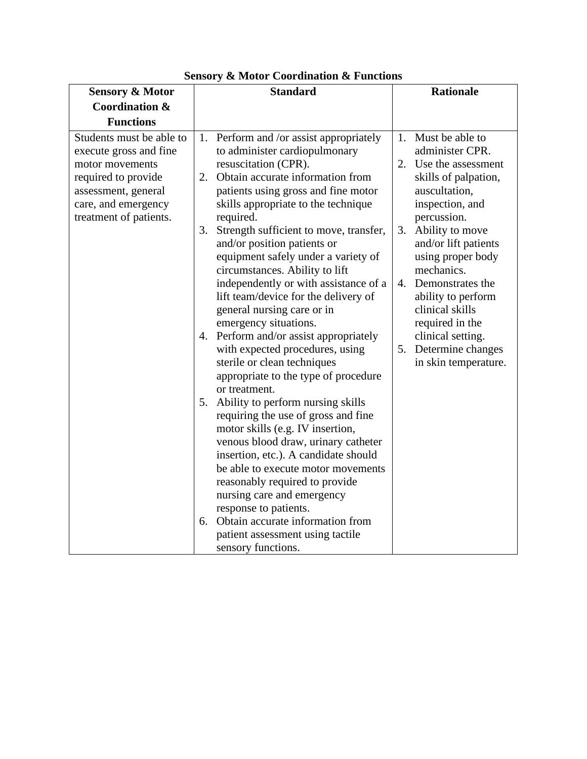| <b>Sensory &amp; Motor</b> |    | <b>Standard</b>                         |    | <b>Rationale</b>     |
|----------------------------|----|-----------------------------------------|----|----------------------|
| <b>Coordination &amp;</b>  |    |                                         |    |                      |
| <b>Functions</b>           |    |                                         |    |                      |
| Students must be able to   |    | 1. Perform and /or assist appropriately | 1. | Must be able to      |
| execute gross and fine     |    | to administer cardiopulmonary           |    | administer CPR.      |
| motor movements            |    | resuscitation (CPR).                    | 2. | Use the assessment   |
| required to provide        | 2. | Obtain accurate information from        |    | skills of palpation, |
| assessment, general        |    | patients using gross and fine motor     |    | auscultation,        |
| care, and emergency        |    | skills appropriate to the technique     |    | inspection, and      |
| treatment of patients.     |    | required.                               |    | percussion.          |
|                            | 3. | Strength sufficient to move, transfer,  | 3. | Ability to move      |
|                            |    | and/or position patients or             |    | and/or lift patients |
|                            |    | equipment safely under a variety of     |    | using proper body    |
|                            |    | circumstances. Ability to lift          |    | mechanics.           |
|                            |    | independently or with assistance of a   |    | 4. Demonstrates the  |
|                            |    | lift team/device for the delivery of    |    | ability to perform   |
|                            |    | general nursing care or in              |    | clinical skills      |
|                            |    | emergency situations.                   |    | required in the      |
|                            |    | 4. Perform and/or assist appropriately  |    | clinical setting.    |
|                            |    | with expected procedures, using         | 5. | Determine changes    |
|                            |    | sterile or clean techniques             |    | in skin temperature. |
|                            |    | appropriate to the type of procedure    |    |                      |
|                            |    | or treatment.                           |    |                      |
|                            | 5. | Ability to perform nursing skills       |    |                      |
|                            |    | requiring the use of gross and fine     |    |                      |
|                            |    | motor skills (e.g. IV insertion,        |    |                      |
|                            |    | venous blood draw, urinary catheter     |    |                      |
|                            |    | insertion, etc.). A candidate should    |    |                      |
|                            |    | be able to execute motor movements      |    |                      |
|                            |    | reasonably required to provide          |    |                      |
|                            |    | nursing care and emergency              |    |                      |
|                            |    | response to patients.                   |    |                      |
|                            |    | 6. Obtain accurate information from     |    |                      |
|                            |    | patient assessment using tactile        |    |                      |
|                            |    | sensory functions.                      |    |                      |

**Sensory & Motor Coordination & Functions**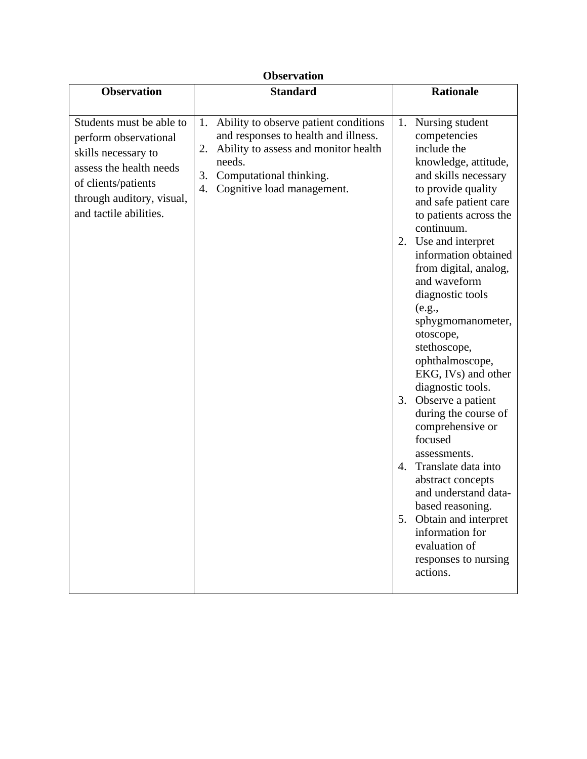# **Observation**

| <b>Observation</b>                                                                                                                                                                | <b>Standard</b>                                                                                                                                                                                                  | <b>Rationale</b>                                                                                                                                                                                                                                                                                                                                                                                                                                                                                                                                                                                                                                                                                                                       |
|-----------------------------------------------------------------------------------------------------------------------------------------------------------------------------------|------------------------------------------------------------------------------------------------------------------------------------------------------------------------------------------------------------------|----------------------------------------------------------------------------------------------------------------------------------------------------------------------------------------------------------------------------------------------------------------------------------------------------------------------------------------------------------------------------------------------------------------------------------------------------------------------------------------------------------------------------------------------------------------------------------------------------------------------------------------------------------------------------------------------------------------------------------------|
| Students must be able to<br>perform observational<br>skills necessary to<br>assess the health needs<br>of clients/patients<br>through auditory, visual,<br>and tactile abilities. | Ability to observe patient conditions<br>1.<br>and responses to health and illness.<br>Ability to assess and monitor health<br>2.<br>needs.<br>Computational thinking.<br>3.<br>Cognitive load management.<br>4. | Nursing student<br>1.<br>competencies<br>include the<br>knowledge, attitude,<br>and skills necessary<br>to provide quality<br>and safe patient care<br>to patients across the<br>continuum.<br>2. Use and interpret<br>information obtained<br>from digital, analog,<br>and waveform<br>diagnostic tools<br>(e.g.,<br>sphygmomanometer,<br>otoscope,<br>stethoscope,<br>ophthalmoscope,<br>EKG, IVs) and other<br>diagnostic tools.<br>Observe a patient<br>3.<br>during the course of<br>comprehensive or<br>focused<br>assessments.<br>Translate data into<br>4.<br>abstract concepts<br>and understand data-<br>based reasoning.<br>5. Obtain and interpret<br>information for<br>evaluation of<br>responses to nursing<br>actions. |
|                                                                                                                                                                                   |                                                                                                                                                                                                                  |                                                                                                                                                                                                                                                                                                                                                                                                                                                                                                                                                                                                                                                                                                                                        |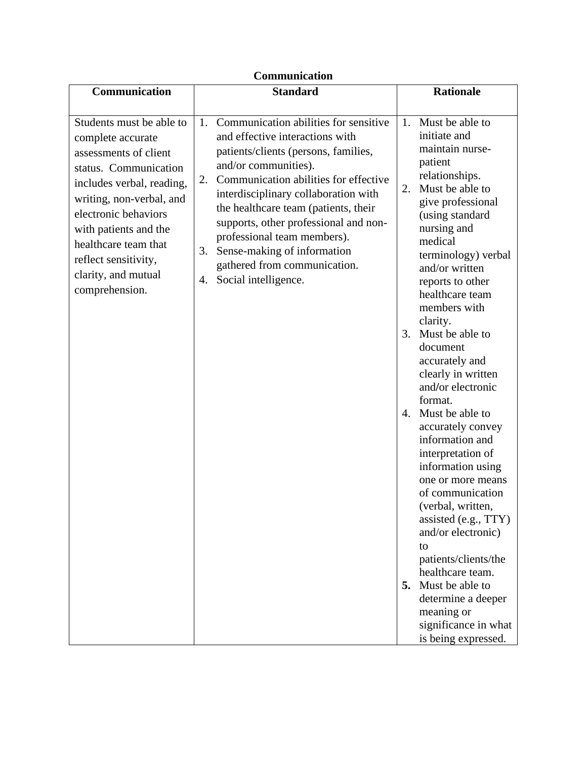| Communication                                                                                                                                                                                                                                                                                      |                                                                                                                                                                                                                                                                                                                                                                                                                                                          |                                                                                                                                                                                                                                                                                                                                                                                                                                                                                                                                                                                                                                                                                                                                                                                             |  |
|----------------------------------------------------------------------------------------------------------------------------------------------------------------------------------------------------------------------------------------------------------------------------------------------------|----------------------------------------------------------------------------------------------------------------------------------------------------------------------------------------------------------------------------------------------------------------------------------------------------------------------------------------------------------------------------------------------------------------------------------------------------------|---------------------------------------------------------------------------------------------------------------------------------------------------------------------------------------------------------------------------------------------------------------------------------------------------------------------------------------------------------------------------------------------------------------------------------------------------------------------------------------------------------------------------------------------------------------------------------------------------------------------------------------------------------------------------------------------------------------------------------------------------------------------------------------------|--|
| Communication                                                                                                                                                                                                                                                                                      | <b>Standard</b>                                                                                                                                                                                                                                                                                                                                                                                                                                          | <b>Rationale</b>                                                                                                                                                                                                                                                                                                                                                                                                                                                                                                                                                                                                                                                                                                                                                                            |  |
| Students must be able to<br>complete accurate<br>assessments of client<br>status. Communication<br>includes verbal, reading,<br>writing, non-verbal, and<br>electronic behaviors<br>with patients and the<br>healthcare team that<br>reflect sensitivity,<br>clarity, and mutual<br>comprehension. | Communication abilities for sensitive<br>1.<br>and effective interactions with<br>patients/clients (persons, families,<br>and/or communities).<br>Communication abilities for effective<br>2.<br>interdisciplinary collaboration with<br>the healthcare team (patients, their<br>supports, other professional and non-<br>professional team members).<br>Sense-making of information<br>3.<br>gathered from communication.<br>Social intelligence.<br>4. | Must be able to<br>1.<br>initiate and<br>maintain nurse-<br>patient<br>relationships.<br>Must be able to<br>2.<br>give professional<br>(using standard<br>nursing and<br>medical<br>terminology) verbal<br>and/or written<br>reports to other<br>healthcare team<br>members with<br>clarity.<br>Must be able to<br>3.<br>document<br>accurately and<br>clearly in written<br>and/or electronic<br>format.<br>4. Must be able to<br>accurately convey<br>information and<br>interpretation of<br>information using<br>one or more means<br>of communication<br>(verbal, written,<br>assisted (e.g., TTY)<br>and/or electronic)<br>to<br>patients/clients/the<br>healthcare team.<br>Must be able to<br>5.<br>determine a deeper<br>meaning or<br>significance in what<br>is being expressed. |  |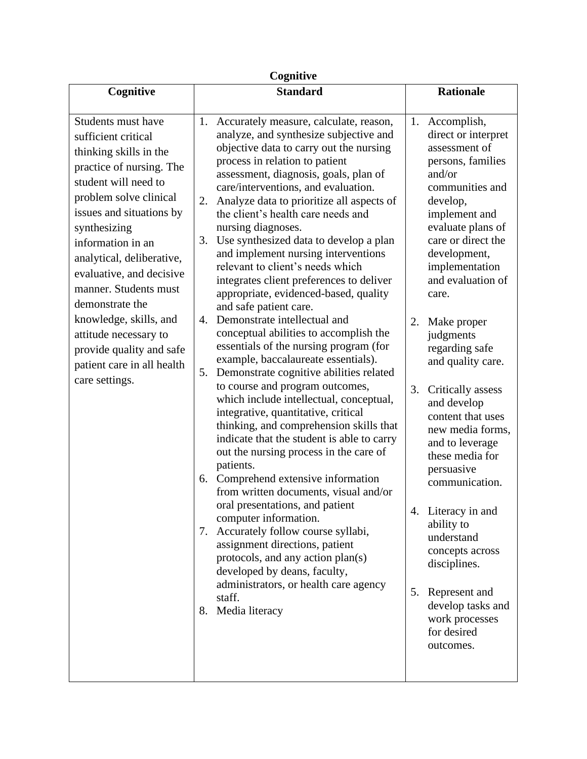| Cognitive                                                                                                                                                                                                                                                                                                                                                                                                                                              |                                                                                                                                                                                                                                                                                                                                                                                                                                                                                                                                                                                                                                                                                                                                                                                                                                                                                                                                                                                                                                                                                                                                                                                                                                                                                                                                                                                                                                                                              |                                                                                                                                                                                                                                                                                                                                                                                                                                                                                                                                                                                                                                                                   |  |
|--------------------------------------------------------------------------------------------------------------------------------------------------------------------------------------------------------------------------------------------------------------------------------------------------------------------------------------------------------------------------------------------------------------------------------------------------------|------------------------------------------------------------------------------------------------------------------------------------------------------------------------------------------------------------------------------------------------------------------------------------------------------------------------------------------------------------------------------------------------------------------------------------------------------------------------------------------------------------------------------------------------------------------------------------------------------------------------------------------------------------------------------------------------------------------------------------------------------------------------------------------------------------------------------------------------------------------------------------------------------------------------------------------------------------------------------------------------------------------------------------------------------------------------------------------------------------------------------------------------------------------------------------------------------------------------------------------------------------------------------------------------------------------------------------------------------------------------------------------------------------------------------------------------------------------------------|-------------------------------------------------------------------------------------------------------------------------------------------------------------------------------------------------------------------------------------------------------------------------------------------------------------------------------------------------------------------------------------------------------------------------------------------------------------------------------------------------------------------------------------------------------------------------------------------------------------------------------------------------------------------|--|
| Cognitive                                                                                                                                                                                                                                                                                                                                                                                                                                              | <b>Standard</b>                                                                                                                                                                                                                                                                                                                                                                                                                                                                                                                                                                                                                                                                                                                                                                                                                                                                                                                                                                                                                                                                                                                                                                                                                                                                                                                                                                                                                                                              | <b>Rationale</b>                                                                                                                                                                                                                                                                                                                                                                                                                                                                                                                                                                                                                                                  |  |
| Students must have<br>sufficient critical<br>thinking skills in the<br>practice of nursing. The<br>student will need to<br>problem solve clinical<br>issues and situations by<br>synthesizing<br>information in an<br>analytical, deliberative,<br>evaluative, and decisive<br>manner. Students must<br>demonstrate the<br>knowledge, skills, and<br>attitude necessary to<br>provide quality and safe<br>patient care in all health<br>care settings. | Accurately measure, calculate, reason,<br>1.<br>analyze, and synthesize subjective and<br>objective data to carry out the nursing<br>process in relation to patient<br>assessment, diagnosis, goals, plan of<br>care/interventions, and evaluation.<br>Analyze data to prioritize all aspects of<br>2.<br>the client's health care needs and<br>nursing diagnoses.<br>3.<br>Use synthesized data to develop a plan<br>and implement nursing interventions<br>relevant to client's needs which<br>integrates client preferences to deliver<br>appropriate, evidenced-based, quality<br>and safe patient care.<br>Demonstrate intellectual and<br>4.<br>conceptual abilities to accomplish the<br>essentials of the nursing program (for<br>example, baccalaureate essentials).<br>Demonstrate cognitive abilities related<br>5.<br>to course and program outcomes,<br>which include intellectual, conceptual,<br>integrative, quantitative, critical<br>thinking, and comprehension skills that<br>indicate that the student is able to carry<br>out the nursing process in the care of<br>patients.<br>Comprehend extensive information<br>6.<br>from written documents, visual and/or<br>oral presentations, and patient<br>computer information.<br>7. Accurately follow course syllabi,<br>assignment directions, patient<br>protocols, and any action plan(s)<br>developed by deans, faculty,<br>administrators, or health care agency<br>staff.<br>Media literacy<br>8. | Accomplish,<br>1.<br>direct or interpret<br>assessment of<br>persons, families<br>and/or<br>communities and<br>develop,<br>implement and<br>evaluate plans of<br>care or direct the<br>development,<br>implementation<br>and evaluation of<br>care.<br>2.<br>Make proper<br>judgments<br>regarding safe<br>and quality care.<br>3.<br>Critically assess<br>and develop<br>content that uses<br>new media forms,<br>and to leverage<br>these media for<br>persuasive<br>communication.<br>4. Literacy in and<br>ability to<br>understand<br>concepts across<br>disciplines.<br>5. Represent and<br>develop tasks and<br>work processes<br>for desired<br>outcomes. |  |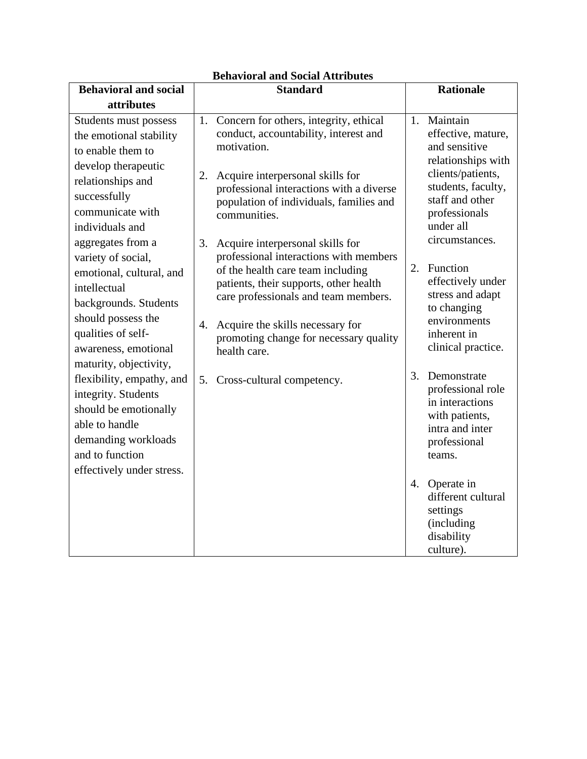| <b>Behavioral and social</b> |    | <b>Standard</b>                                                                 |    | <b>Rationale</b>                  |
|------------------------------|----|---------------------------------------------------------------------------------|----|-----------------------------------|
| attributes                   |    |                                                                                 |    |                                   |
|                              |    |                                                                                 |    |                                   |
| Students must possess        | 1. | Concern for others, integrity, ethical<br>conduct, accountability, interest and |    | 1. Maintain<br>effective, mature, |
| the emotional stability      |    | motivation.                                                                     |    | and sensitive                     |
| to enable them to            |    |                                                                                 |    | relationships with                |
| develop therapeutic          | 2. | Acquire interpersonal skills for                                                |    | clients/patients,                 |
| relationships and            |    | professional interactions with a diverse                                        |    | students, faculty,                |
| successfully                 |    | population of individuals, families and                                         |    | staff and other                   |
| communicate with             |    | communities.                                                                    |    | professionals                     |
| individuals and              |    |                                                                                 |    | under all                         |
| aggregates from a            | 3. | Acquire interpersonal skills for                                                |    | circumstances.                    |
| variety of social,           |    | professional interactions with members                                          |    |                                   |
| emotional, cultural, and     |    | of the health care team including                                               | 2. | Function                          |
| intellectual                 |    | patients, their supports, other health                                          |    | effectively under                 |
| backgrounds. Students        |    | care professionals and team members.                                            |    | stress and adapt<br>to changing   |
| should possess the           |    |                                                                                 |    | environments                      |
| qualities of self-           | 4. | Acquire the skills necessary for<br>promoting change for necessary quality      |    | inherent in                       |
| awareness, emotional         |    | health care.                                                                    |    | clinical practice.                |
| maturity, objectivity,       |    |                                                                                 |    |                                   |
| flexibility, empathy, and    | 5. | Cross-cultural competency.                                                      | 3. | Demonstrate                       |
| integrity. Students          |    |                                                                                 |    | professional role                 |
| should be emotionally        |    |                                                                                 |    | in interactions                   |
| able to handle               |    |                                                                                 |    | with patients,<br>intra and inter |
| demanding workloads          |    |                                                                                 |    | professional                      |
| and to function              |    |                                                                                 |    | teams.                            |
| effectively under stress.    |    |                                                                                 |    |                                   |
|                              |    |                                                                                 | 4. | Operate in                        |
|                              |    |                                                                                 |    | different cultural                |
|                              |    |                                                                                 |    | settings                          |
|                              |    |                                                                                 |    | (including                        |
|                              |    |                                                                                 |    | disability                        |
|                              |    |                                                                                 |    | culture).                         |

## **Behavioral and Social Attributes**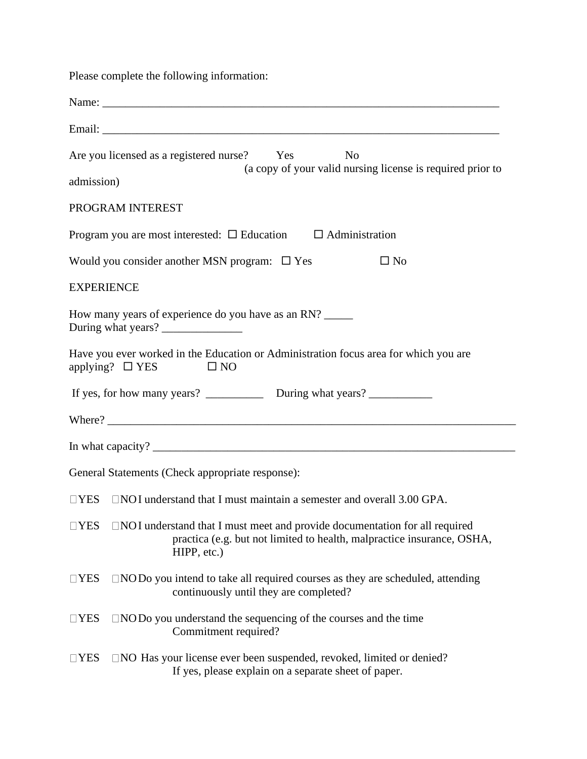Please complete the following information:

|                   | Are you licensed as a registered nurse? Yes<br>N <sub>o</sub>                                                                                                                         |
|-------------------|---------------------------------------------------------------------------------------------------------------------------------------------------------------------------------------|
| admission)        | (a copy of your valid nursing license is required prior to                                                                                                                            |
|                   | PROGRAM INTEREST                                                                                                                                                                      |
|                   | Program you are most interested: $\square$ Education $\square$ Administration                                                                                                         |
|                   | Would you consider another MSN program: □ Yes<br>$\square$ No                                                                                                                         |
| <b>EXPERIENCE</b> |                                                                                                                                                                                       |
|                   | How many years of experience do you have as an RN?<br>During what years?                                                                                                              |
|                   | Have you ever worked in the Education or Administration focus area for which you are<br>applying? $\Box$ YES<br>$\square$ NO                                                          |
|                   |                                                                                                                                                                                       |
|                   |                                                                                                                                                                                       |
|                   |                                                                                                                                                                                       |
|                   | General Statements (Check appropriate response):                                                                                                                                      |
|                   | $\Box$ YES $\Box$ NOI understand that I must maintain a semester and overall 3.00 GPA.                                                                                                |
|                   | $\Box$ YES $\Box$ NOI understand that I must meet and provide documentation for all required<br>practica (e.g. but not limited to health, malpractice insurance, OSHA,<br>HIPP, etc.) |
| $\Box$ YES        | $\Box$ NOD <sub>o</sub> you intend to take all required courses as they are scheduled, attending<br>continuously until they are completed?                                            |
| $\Box$ YES        | $\Box$ NODo you understand the sequencing of the courses and the time<br>Commitment required?                                                                                         |
| $\Box$ YES        | □NO Has your license ever been suspended, revoked, limited or denied?<br>If yes, please explain on a separate sheet of paper.                                                         |